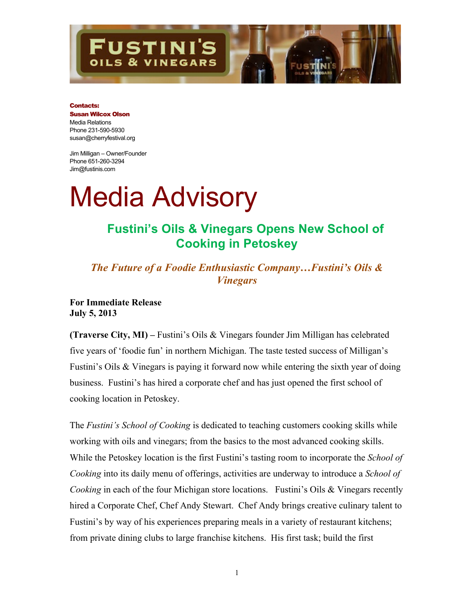

#### Contacts:

### Susan Wilcox Olson Media Relations Phone 231-590-5930 susan@cherryfestival.org

Jim Milligan – Owner/Founder Phone 651-260-3294 Jim@fustinis.com

# Media Advisory

# **Fustini's Oils & Vinegars Opens New School of Cooking in Petoskey**

*The Future of a Foodie Enthusiastic Company…Fustini's Oils & Vinegars*

**For Immediate Release July 5, 2013**

**(Traverse City, MI) –** Fustini's Oils & Vinegars founder Jim Milligan has celebrated five years of 'foodie fun' in northern Michigan. The taste tested success of Milligan's Fustini's Oils & Vinegars is paying it forward now while entering the sixth year of doing business. Fustini's has hired a corporate chef and has just opened the first school of cooking location in Petoskey.

The *Fustini's School of Cooking* is dedicated to teaching customers cooking skills while working with oils and vinegars; from the basics to the most advanced cooking skills. While the Petoskey location is the first Fustini's tasting room to incorporate the *School of Cooking* into its daily menu of offerings, activities are underway to introduce a *School of Cooking* in each of the four Michigan store locations. Fustini's Oils & Vinegars recently hired a Corporate Chef, Chef Andy Stewart. Chef Andy brings creative culinary talent to Fustini's by way of his experiences preparing meals in a variety of restaurant kitchens; from private dining clubs to large franchise kitchens. His first task; build the first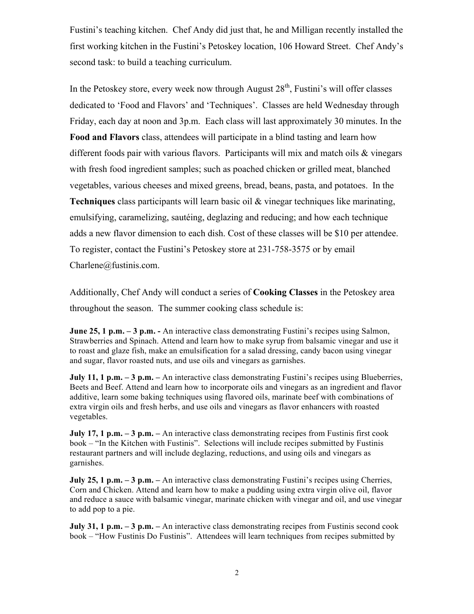Fustini's teaching kitchen. Chef Andy did just that, he and Milligan recently installed the first working kitchen in the Fustini's Petoskey location, 106 Howard Street. Chef Andy's second task: to build a teaching curriculum.

In the Petoskey store, every week now through August  $28<sup>th</sup>$ , Fustini's will offer classes dedicated to 'Food and Flavors' and 'Techniques'. Classes are held Wednesday through Friday, each day at noon and 3p.m. Each class will last approximately 30 minutes. In the **Food and Flavors** class, attendees will participate in a blind tasting and learn how different foods pair with various flavors. Participants will mix and match oils & vinegars with fresh food ingredient samples; such as poached chicken or grilled meat, blanched vegetables, various cheeses and mixed greens, bread, beans, pasta, and potatoes. In the **Techniques** class participants will learn basic oil & vinegar techniques like marinating, emulsifying, caramelizing, sautéing, deglazing and reducing; and how each technique adds a new flavor dimension to each dish. Cost of these classes will be \$10 per attendee. To register, contact the Fustini's Petoskey store at 231-758-3575 or by email Charlene@fustinis.com.

Additionally, Chef Andy will conduct a series of **Cooking Classes** in the Petoskey area throughout the season. The summer cooking class schedule is:

**June 25, 1 p.m. – 3 p.m. -** An interactive class demonstrating Fustini's recipes using Salmon, Strawberries and Spinach. Attend and learn how to make syrup from balsamic vinegar and use it to roast and glaze fish, make an emulsification for a salad dressing, candy bacon using vinegar and sugar, flavor roasted nuts, and use oils and vinegars as garnishes.

**July 11, 1 p.m. – 3 p.m.** – An interactive class demonstrating Fustini's recipes using Blueberries, Beets and Beef. Attend and learn how to incorporate oils and vinegars as an ingredient and flavor additive, learn some baking techniques using flavored oils, marinate beef with combinations of extra virgin oils and fresh herbs, and use oils and vinegars as flavor enhancers with roasted vegetables.

**July 17, 1 p.m. – 3 p.m.** – An interactive class demonstrating recipes from Fustinis first cook book – "In the Kitchen with Fustinis". Selections will include recipes submitted by Fustinis restaurant partners and will include deglazing, reductions, and using oils and vinegars as garnishes.

**July 25, 1 p.m.** – 3 p.m. – An interactive class demonstrating Fustini's recipes using Cherries, Corn and Chicken. Attend and learn how to make a pudding using extra virgin olive oil, flavor and reduce a sauce with balsamic vinegar, marinate chicken with vinegar and oil, and use vinegar to add pop to a pie.

**July 31, 1 p.m. – 3 p.m. – An interactive class demonstrating recipes from Fustinis second cook** book – "How Fustinis Do Fustinis". Attendees will learn techniques from recipes submitted by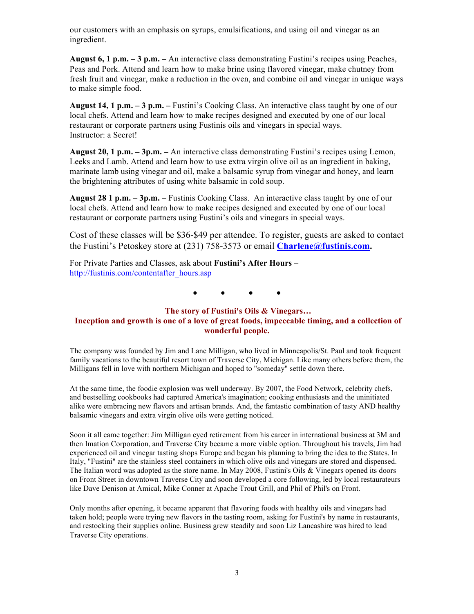our customers with an emphasis on syrups, emulsifications, and using oil and vinegar as an ingredient.

**August 6, 1 p.m. – 3 p.m. –** An interactive class demonstrating Fustini's recipes using Peaches, Peas and Pork. Attend and learn how to make brine using flavored vinegar, make chutney from fresh fruit and vinegar, make a reduction in the oven, and combine oil and vinegar in unique ways to make simple food.

**August 14, 1 p.m. – 3 p.m. –** Fustini's Cooking Class. An interactive class taught by one of our local chefs. Attend and learn how to make recipes designed and executed by one of our local restaurant or corporate partners using Fustinis oils and vinegars in special ways. Instructor: a Secret!

**August 20, 1 p.m. – 3p.m. –** An interactive class demonstrating Fustini's recipes using Lemon, Leeks and Lamb. Attend and learn how to use extra virgin olive oil as an ingredient in baking, marinate lamb using vinegar and oil, make a balsamic syrup from vinegar and honey, and learn the brightening attributes of using white balsamic in cold soup.

**August 28 1 p.m. – 3p.m. –** Fustinis Cooking Class. An interactive class taught by one of our local chefs. Attend and learn how to make recipes designed and executed by one of our local restaurant or corporate partners using Fustini's oils and vinegars in special ways.

Cost of these classes will be \$36-\$49 per attendee. To register, guests are asked to contact the Fustini's Petoskey store at (231) 758-3573 or email **Charlene@fustinis.com.**

For Private Parties and Classes, ask about **Fustini's After Hours –** http://fustinis.com/contentafter\_hours.asp

**● ● ● ●**

## **The story of Fustini's Oils & Vinegars… Inception and growth is one of a love of great foods, impeccable timing, and a collection of wonderful people.**

The company was founded by Jim and Lane Milligan, who lived in Minneapolis/St. Paul and took frequent family vacations to the beautiful resort town of Traverse City, Michigan. Like many others before them, the Milligans fell in love with northern Michigan and hoped to "someday" settle down there.

At the same time, the foodie explosion was well underway. By 2007, the Food Network, celebrity chefs, and bestselling cookbooks had captured America's imagination; cooking enthusiasts and the uninitiated alike were embracing new flavors and artisan brands. And, the fantastic combination of tasty AND healthy balsamic vinegars and extra virgin olive oils were getting noticed.

Soon it all came together: Jim Milligan eyed retirement from his career in international business at 3M and then Imation Corporation, and Traverse City became a more viable option. Throughout his travels, Jim had experienced oil and vinegar tasting shops Europe and began his planning to bring the idea to the States. In Italy, "Fustini" are the stainless steel containers in which olive oils and vinegars are stored and dispensed. The Italian word was adopted as the store name. In May 2008, Fustini's Oils & Vinegars opened its doors on Front Street in downtown Traverse City and soon developed a core following, led by local restaurateurs like Dave Denison at Amical, Mike Conner at Apache Trout Grill, and Phil of Phil's on Front.

Only months after opening, it became apparent that flavoring foods with healthy oils and vinegars had taken hold; people were trying new flavors in the tasting room, asking for Fustini's by name in restaurants, and restocking their supplies online. Business grew steadily and soon Liz Lancashire was hired to lead Traverse City operations.